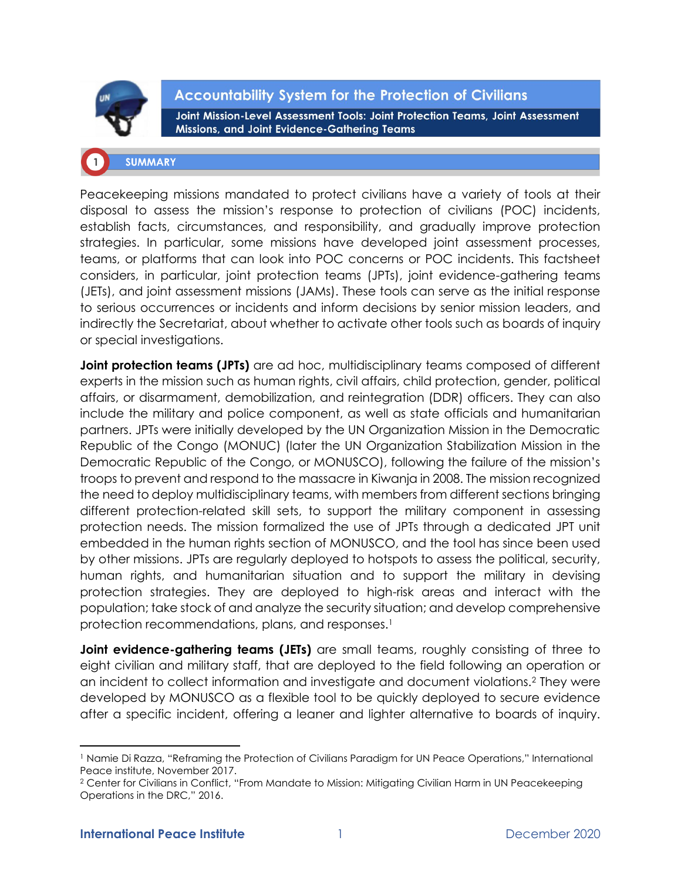

**Accountability System for the Protection of Civilians** Joint Mission-Level Assessment Tools: Joint Protection Teams, Joint Assessment Missions, and Joint Evidence-Gathering Teams

## **SUMMARY**

Peacekeeping missions mandated to protect civilians have a variety of tools at their disposal to assess the mission's response to protection of civilians (POC) incidents, establish facts, circumstances, and responsibility, and gradually improve protection strategies. In particular, some missions have developed joint assessment processes, teams, or platforms that can look into POC concerns or POC incidents. This factsheet considers, in particular, joint protection teams (JPTs), joint evidence-gathering teams (JETs), and joint assessment missions (JAMs). These tools can serve as the initial response to serious occurrences or incidents and inform decisions by senior mission leaders, and indirectly the Secretariat, about whether to activate other tools such as boards of inquiry or special investigations.

**Joint protection teams (JPTs)** are ad hoc, multidisciplinary teams composed of different experts in the mission such as human rights, civil affairs, child protection, gender, political affairs, or disarmament, demobilization, and reintegration (DDR) officers. They can also include the military and police component, as well as state officials and humanitarian partners. JPTs were initially developed by the UN Organization Mission in the Democratic Republic of the Congo (MONUC) (later the UN Organization Stabilization Mission in the Democratic Republic of the Congo, or MONUSCO), following the failure of the mission's troops to prevent and respond to the massacre in Kiwanja in 2008. The mission recognized the need to deploy multidisciplinary teams, with members from different sections bringing different protection-related skill sets, to support the military component in assessing protection needs. The mission formalized the use of JPTs through a dedicated JPT unit embedded in the human rights section of MONUSCO, and the tool has since been used by other missions. JPTs are regularly deployed to hotspots to assess the political, security, human rights, and humanitarian situation and to support the military in devising protection strategies. They are deployed to high-risk areas and interact with the population; take stock of and analyze the security situation; and develop comprehensive protection recommendations, plans, and responses.<sup>1</sup>

**Joint evidence-gathering teams (JETs)** are small teams, roughly consisting of three to eight civilian and military staff, that are deployed to the field following an operation or an incident to collect information and investigate and document violations.<sup>2</sup> They were developed by MONUSCO as a flexible tool to be quickly deployed to secure evidence after a specific incident, offering a leaner and lighter alternative to boards of inquiry.

<sup>&</sup>lt;sup>1</sup> Namie Di Razza, "Reframing the Protection of Civilians Paradigm for UN Peace Operations," International Peace institute, November 2017.

<sup>2</sup> Center for Civilians in Conflict, ["From Mandate to Mission: Mitigating Civilian Harm in UN Peacekeeping](https://civiliansinconflict.org/wp-content/uploads/2017/01/DRC_REPORT_Web_2016_12_30-Small.pdf)  [Operations in the DRC,"](https://civiliansinconflict.org/wp-content/uploads/2017/01/DRC_REPORT_Web_2016_12_30-Small.pdf) 2016.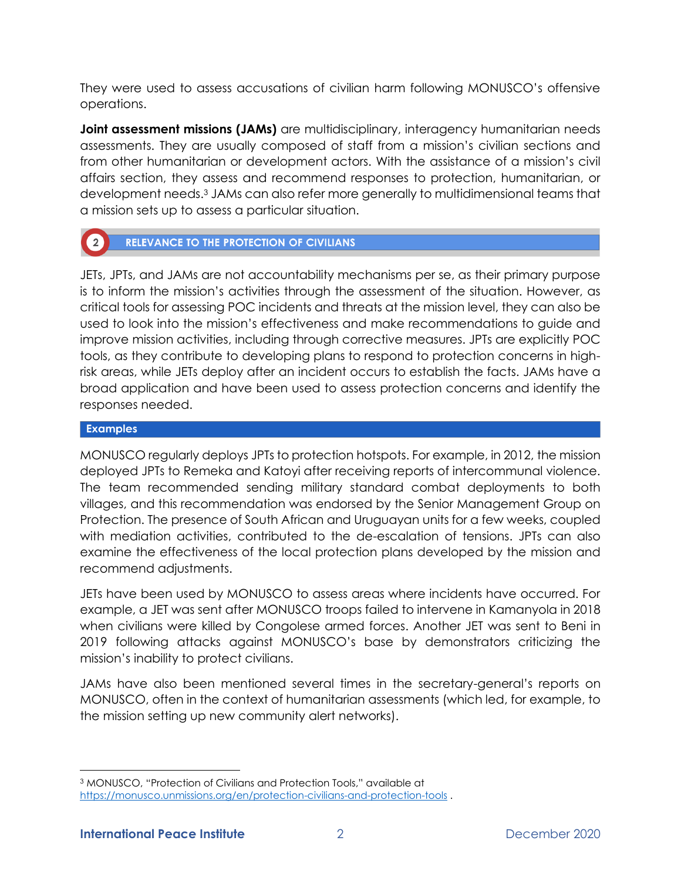They were used to assess accusations of civilian harm following MONUSCO's offensive operations.

**Joint assessment missions (JAMs)** are multidisciplinary, interagency humanitarian needs assessments. They are usually composed of staff from a mission's civilian sections and from other humanitarian or development actors. With the assistance of a mission's civil affairs section, they assess and recommend responses to protection, humanitarian, or development needs.<sup>3</sup> JAMs can also refer more generally to multidimensional teams that a mission sets up to assess a particular situation.

# **RELEVANCE TO THE PROTECTION OF CIVILIANS**

JETs, JPTs, and JAMs are not accountability mechanisms per se, as their primary purpose is to inform the mission's activities through the assessment of the situation. However, as critical tools for assessing POC incidents and threats at the mission level, they can also be used to look into the mission's effectiveness and make recommendations to guide and improve mission activities, including through corrective measures. JPTs are explicitly POC tools, as they contribute to developing plans to respond to protection concerns in highrisk areas, while JETs deploy after an incident occurs to establish the facts. JAMs have a broad application and have been used to assess protection concerns and identify the responses needed.

## **Examples**

 $\left( 2\right)$ 

MONUSCO regularly deploys JPTs to protection hotspots. For example, in 2012, the mission deployed JPTs to Remeka and Katoyi after receiving reports of intercommunal violence. The team recommended sending military standard combat deployments to both villages, and this recommendation was endorsed by the Senior Management Group on Protection. The presence of South African and Uruguayan units for a few weeks, coupled with mediation activities, contributed to the de-escalation of tensions. JPTs can also examine the effectiveness of the local protection plans developed by the mission and recommend adjustments.

JETs have been used by MONUSCO to assess areas where incidents have occurred. For example, a JET was sent after MONUSCO troops failed to intervene in Kamanyola in 2018 when civilians were killed by Congolese armed forces. Another JET was sent to Beni in 2019 following attacks against MONUSCO's base by demonstrators criticizing the mission's inability to protect civilians.

JAMs have also been mentioned several times in the secretary-general's reports on MONUSCO, often in the context of humanitarian assessments (which led, for example, to the mission setting up new community alert networks).

<sup>3</sup> MONUSCO, "Protection of Civilians and Protection Tools," available at <https://monusco.unmissions.org/en/protection-civilians-and-protection-tools> .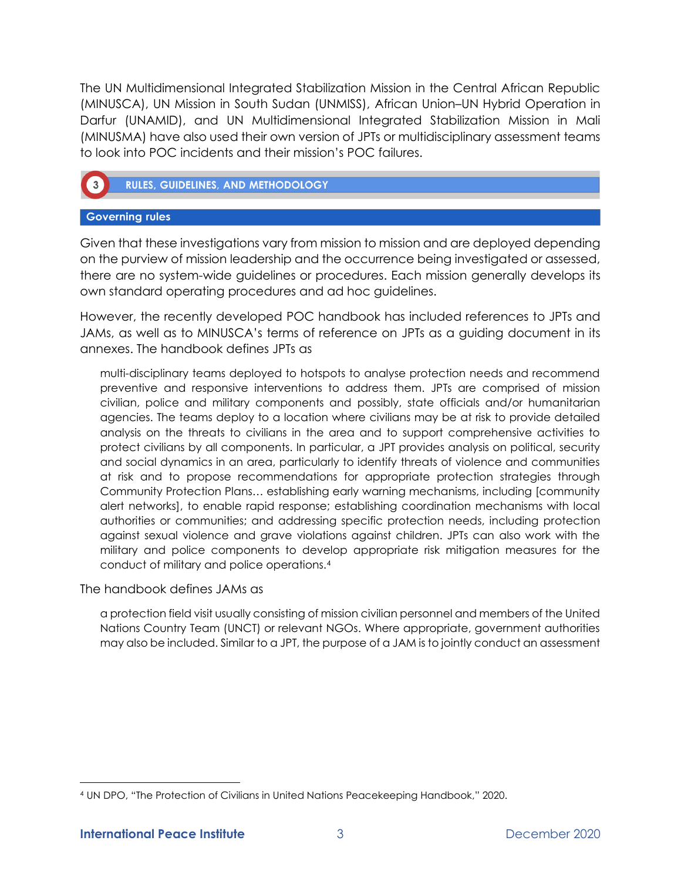The UN Multidimensional Integrated Stabilization Mission in the Central African Republic (MINUSCA), UN Mission in South Sudan (UNMISS), African Union–UN Hybrid Operation in Darfur (UNAMID), and UN Multidimensional Integrated Stabilization Mission in Mali (MINUSMA) have also used their own version of JPTs or multidisciplinary assessment teams to look into POC incidents and their mission's POC failures.



**RULES, GUIDELINES, AND METHODOLOGY** 

## **Governing rules**

Given that these investigations vary from mission to mission and are deployed depending on the purview of mission leadership and the occurrence being investigated or assessed, there are no system-wide guidelines or procedures. Each mission generally develops its own standard operating procedures and ad hoc guidelines.

However, the recently developed POC handbook has included references to JPTs and JAMs, as well as to MINUSCA's terms of reference on JPTs as a guiding document in its annexes. The handbook defines JPTs as

multi-disciplinary teams deployed to hotspots to analyse protection needs and recommend preventive and responsive interventions to address them. JPTs are comprised of mission civilian, police and military components and possibly, state officials and/or humanitarian agencies. The teams deploy to a location where civilians may be at risk to provide detailed analysis on the threats to civilians in the area and to support comprehensive activities to protect civilians by all components. In particular, a JPT provides analysis on political, security and social dynamics in an area, particularly to identify threats of violence and communities at risk and to propose recommendations for appropriate protection strategies through Community Protection Plans… establishing early warning mechanisms, including [community alert networks], to enable rapid response; establishing coordination mechanisms with local authorities or communities; and addressing specific protection needs, including protection against sexual violence and grave violations against children. JPTs can also work with the military and police components to develop appropriate risk mitigation measures for the conduct of military and police operations.<sup>4</sup>

The handbook defines JAMs as

a protection field visit usually consisting of mission civilian personnel and members of the United Nations Country Team (UNCT) or relevant NGOs. Where appropriate, government authorities may also be included. Similar to a JPT, the purpose of a JAM is to jointly conduct an assessment

<sup>4</sup> UN DPO, "The Protection of Civilians in United Nations Peacekeeping Handbook," 2020.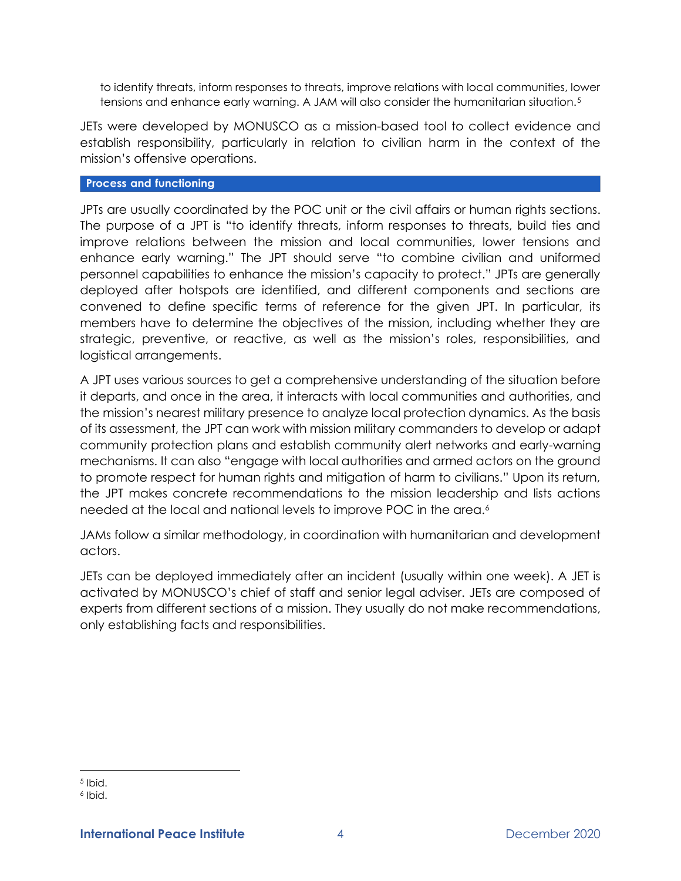to identify threats, inform responses to threats, improve relations with local communities, lower tensions and enhance early warning. A JAM will also consider the humanitarian situation.<sup>5</sup>

JETs were developed by MONUSCO as a mission-based tool to collect evidence and establish responsibility, particularly in relation to civilian harm in the context of the mission's offensive operations.

## **Process and functioning**

JPTs are usually coordinated by the POC unit or the civil affairs or human rights sections. The purpose of a JPT is "to identify threats, inform responses to threats, build ties and improve relations between the mission and local communities, lower tensions and enhance early warning." The JPT should serve "to combine civilian and uniformed personnel capabilities to enhance the mission's capacity to protect." JPTs are generally deployed after hotspots are identified, and different components and sections are convened to define specific terms of reference for the given JPT. In particular, its members have to determine the objectives of the mission, including whether they are strategic, preventive, or reactive, as well as the mission's roles, responsibilities, and logistical arrangements.

A JPT uses various sources to get a comprehensive understanding of the situation before it departs, and once in the area, it interacts with local communities and authorities, and the mission's nearest military presence to analyze local protection dynamics. As the basis of its assessment, the JPT can work with mission military commanders to develop or adapt community protection plans and establish community alert networks and early-warning mechanisms. It can also "engage with local authorities and armed actors on the ground to promote respect for human rights and mitigation of harm to civilians." Upon its return, the JPT makes concrete recommendations to the mission leadership and lists actions needed at the local and national levels to improve POC in the area.<sup>6</sup>

JAMs follow a similar methodology, in coordination with humanitarian and development actors.

JETs can be deployed immediately after an incident (usually within one week). A JET is activated by MONUSCO's chief of staff and senior legal adviser. JETs are composed of experts from different sections of a mission. They usually do not make recommendations, only establishing facts and responsibilities.

<sup>5</sup> Ibid.

<sup>6</sup> Ibid.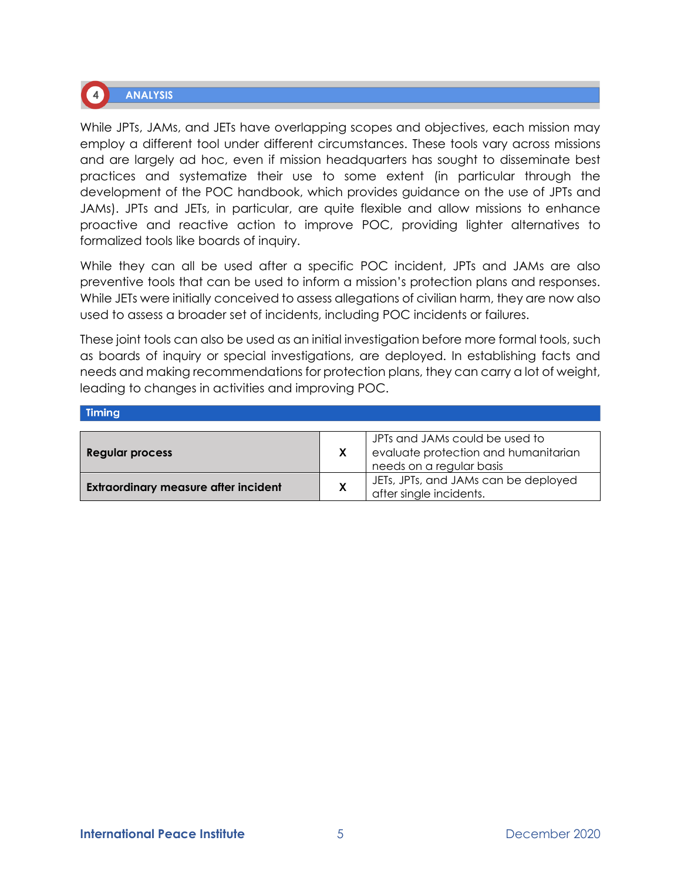

While JPTs, JAMs, and JETs have overlapping scopes and objectives, each mission may employ a different tool under different circumstances. These tools vary across missions and are largely ad hoc, even if mission headquarters has sought to disseminate best practices and systematize their use to some extent (in particular through the development of the POC handbook, which provides guidance on the use of JPTs and JAMs). JPTs and JETs, in particular, are quite flexible and allow missions to enhance proactive and reactive action to improve POC, providing lighter alternatives to formalized tools like boards of inquiry.

While they can all be used after a specific POC incident, JPTs and JAMs are also preventive tools that can be used to inform a mission's protection plans and responses. While JETs were initially conceived to assess allegations of civilian harm, they are now also used to assess a broader set of incidents, including POC incidents or failures.

These joint tools can also be used as an initial investigation before more formal tools, such as boards of inquiry or special investigations, are deployed. In establishing facts and needs and making recommendations for protection plans, they can carry a lot of weight, leading to changes in activities and improving POC.

| <b>Timing</b>                               |   |                                                                                                    |
|---------------------------------------------|---|----------------------------------------------------------------------------------------------------|
| <b>Regular process</b>                      |   | JPTs and JAMs could be used to<br>evaluate protection and humanitarian<br>needs on a regular basis |
| <b>Extraordinary measure after incident</b> | X | JETs, JPTs, and JAMs can be deployed<br>after single incidents.                                    |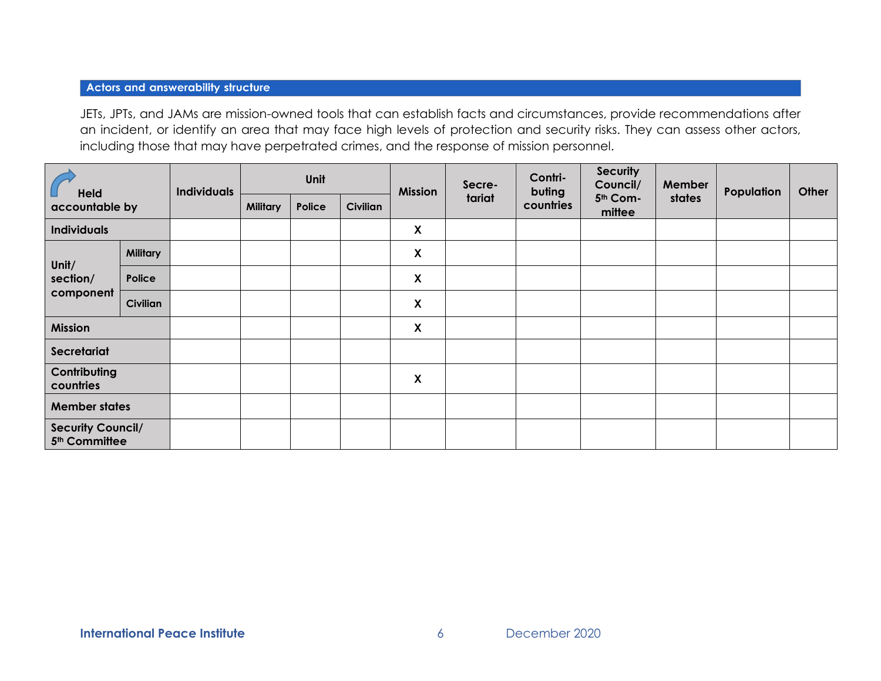## **Actors and answerability structure**

JETs, JPTs, and JAMs are mission-owned tools that can establish facts and circumstances, provide recommendations after an incident, or identify an area that may face high levels of protection and security risks. They can assess other actors, including those that may have perpetrated crimes, and the response of mission personnel.

| <b>Held</b><br>accountable by                         |                 | <b>Individuals</b> | Unit            |        | <b>Mission</b>  | Secre-             | Contri-<br>buting | <b>Security</b><br>Council/ | Member             | Population | Other |  |
|-------------------------------------------------------|-----------------|--------------------|-----------------|--------|-----------------|--------------------|-------------------|-----------------------------|--------------------|------------|-------|--|
|                                                       |                 |                    | <b>Military</b> | Police | <b>Civilian</b> |                    | tariat            | countries                   | 5th Com-<br>mittee | states     |       |  |
| <b>Individuals</b>                                    |                 |                    |                 |        |                 | X                  |                   |                             |                    |            |       |  |
| Unit/<br>section/<br>component                        | <b>Military</b> |                    |                 |        |                 | $\pmb{\mathsf{X}}$ |                   |                             |                    |            |       |  |
|                                                       | Police          |                    |                 |        |                 | X                  |                   |                             |                    |            |       |  |
|                                                       | <b>Civilian</b> |                    |                 |        |                 | X                  |                   |                             |                    |            |       |  |
| <b>Mission</b>                                        |                 |                    |                 |        |                 | X                  |                   |                             |                    |            |       |  |
| Secretariat                                           |                 |                    |                 |        |                 |                    |                   |                             |                    |            |       |  |
| Contributing<br>countries                             |                 |                    |                 |        |                 | $\pmb{\mathsf{X}}$ |                   |                             |                    |            |       |  |
| <b>Member states</b>                                  |                 |                    |                 |        |                 |                    |                   |                             |                    |            |       |  |
| <b>Security Council/</b><br>5 <sup>th</sup> Committee |                 |                    |                 |        |                 |                    |                   |                             |                    |            |       |  |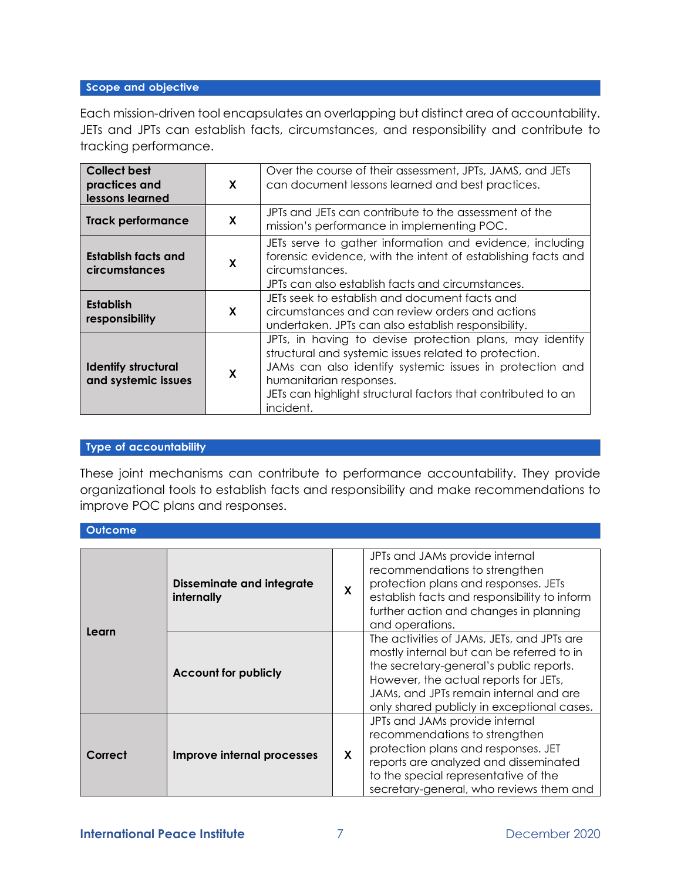## Scope and objective

Each mission-driven tool encapsulates an overlapping but distinct area of accountability. JETs and JPTs can establish facts, circumstances, and responsibility and contribute to tracking performance.

| <b>Collect best</b><br>practices and<br>lessons learned | X | Over the course of their assessment, JPTs, JAMS, and JETs<br>can document lessons learned and best practices.                                                                                                                                                                         |
|---------------------------------------------------------|---|---------------------------------------------------------------------------------------------------------------------------------------------------------------------------------------------------------------------------------------------------------------------------------------|
| <b>Track performance</b>                                | X | JPTs and JETs can contribute to the assessment of the<br>mission's performance in implementing POC.                                                                                                                                                                                   |
| Establish facts and<br>circumstances                    | X | JETs serve to gather information and evidence, including<br>forensic evidence, with the intent of establishing facts and<br>circumstances.<br>JPTs can also establish facts and circumstances.                                                                                        |
| <b>Establish</b><br>responsibility                      | X | JETs seek to establish and document facts and<br>circumstances and can review orders and actions<br>undertaken. JPTs can also establish responsibility.                                                                                                                               |
| <b>Identify structural</b><br>and systemic issues       | X | JPTs, in having to devise protection plans, may identify<br>structural and systemic issues related to protection.<br>JAMs can also identify systemic issues in protection and<br>humanitarian responses.<br>JETs can highlight structural factors that contributed to an<br>incident. |

#### Type of accountability

These joint mechanisms can contribute to performance accountability. They provide organizational tools to establish facts and responsibility and make recommendations to improve POC plans and responses.

#### Outcome

| Learn   | <b>Disseminate and integrate</b><br>internally | X | JPTs and JAMs provide internal<br>recommendations to strengthen<br>protection plans and responses. JETs<br>establish facts and responsibility to inform<br>further action and changes in planning<br>and operations.                                                |  |  |
|---------|------------------------------------------------|---|---------------------------------------------------------------------------------------------------------------------------------------------------------------------------------------------------------------------------------------------------------------------|--|--|
|         | <b>Account for publicly</b>                    |   | The activities of JAMs, JETs, and JPTs are<br>mostly internal but can be referred to in<br>the secretary-general's public reports.<br>However, the actual reports for JETs,<br>JAMs, and JPTs remain internal and are<br>only shared publicly in exceptional cases. |  |  |
| Correct | Improve internal processes                     | X | JPTs and JAMs provide internal<br>recommendations to strengthen<br>protection plans and responses. JET<br>reports are analyzed and disseminated<br>to the special representative of the<br>secretary-general, who reviews them and                                  |  |  |